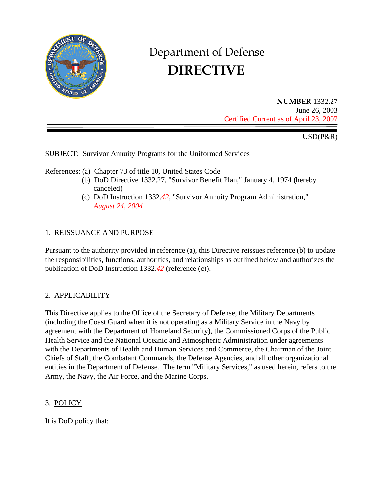

# Department of Defense  **DIRECTIVE**

**NUMBER** 1332.27 June 26, 2003 Certified Current as of April 23, 2007

USD(P&R)

SUBJECT: Survivor Annuity Programs for the Uniformed Services

References: (a) Chapter 73 of title 10, United States Code

- (b) DoD Directive 1332.27, "Survivor Benefit Plan," January 4, 1974 (hereby canceled)
- (c) DoD Instruction 1332.*42*, "Survivor Annuity Program Administration,"  *August 24, 2004*

## 1. REISSUANCE AND PURPOSE

Pursuant to the authority provided in reference (a), this Directive reissues reference (b) to update the responsibilities, functions, authorities, and relationships as outlined below and authorizes the publication of DoD Instruction 1332.*42* (reference (c)).

### 2. APPLICABILITY

This Directive applies to the Office of the Secretary of Defense, the Military Departments (including the Coast Guard when it is not operating as a Military Service in the Navy by agreement with the Department of Homeland Security), the Commissioned Corps of the Public Health Service and the National Oceanic and Atmospheric Administration under agreements with the Departments of Health and Human Services and Commerce, the Chairman of the Joint Chiefs of Staff, the Combatant Commands, the Defense Agencies, and all other organizational entities in the Department of Defense. The term "Military Services," as used herein, refers to the Army, the Navy, the Air Force, and the Marine Corps.

## 3. POLICY

It is DoD policy that: